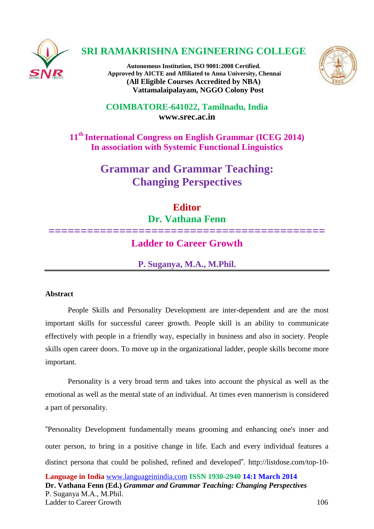

# **SRI RAMAKRISHNA ENGINEERING COLLEGE**

**Autonomous Institution, ISO 9001:2008 Certified. Approved by AICTE and Affiliated to Anna University, Chennai (All Eligible Courses Accredited by NBA) Vattamalaipalayam, NGGO Colony Post**



**COIMBATORE-641022, Tamilnadu, India [www.srec.ac.in](http://www.srec.ac.in/)**

**11th International Congress on English Grammar (ICEG 2014) In association with Systemic Functional Linguistics**

> **Grammar and Grammar Teaching: Changing Perspectives**

# **Editor**

**Dr. Vathana Fenn**

# **=========================================== Ladder to Career Growth**

**P. Suganya, M.A., M.Phil.**

# **Abstract**

People Skills and Personality Development are inter-dependent and are the most important skills for successful career growth. People skill is an ability to communicate effectively with people in a friendly way, especially in business and also in society. People skills open career doors. To move up in the organizational ladder, people skills become more important.

Personality is a very broad term and takes into account the physical as well as the emotional as well as the mental state of an individual. At times even mannerism is considered a part of personality.

"Personality Development fundamentally means grooming and enhancing one's inner and outer person, to bring in a positive change in life. Each and every individual features a distinct persona that could be polished, refined and developed". [http://listdose.com/top-10-](http://listdose.com/top-10-most-important-personality-development-tips/)

**Language in India** [www.languageinindia.com](http://www.languageinindia.com/) **ISSN 1930-2940 14:1 March 2014 Dr. Vathana Fenn (Ed.)** *Grammar and Grammar Teaching: Changing Perspectives* P. Suganya M.A., M.Phil. Ladder to Career Growth 106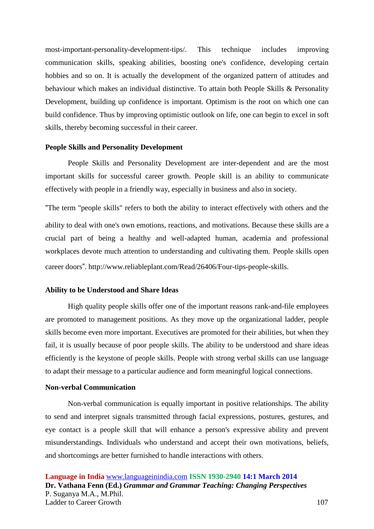[most-important-personality-development-tips/.](http://listdose.com/top-10-most-important-personality-development-tips/) This technique includes improving communication skills, speaking abilities, boosting one's confidence, developing certain hobbies and so on. It is actually the development of the organized pattern of attitudes and behaviour which makes an individual distinctive. To attain both People Skills & Personality Development, building up confidence is important. Optimism is the root on which one can build confidence. Thus by improving optimistic outlook on life, one can begin to excel in soft skills, thereby becoming successful in their career.

#### **People Skills and Personality Development**

People Skills and Personality Development are inter-dependent and are the most important skills for successful career growth. People skill is an ability to communicate effectively with people in a friendly way, especially in business and also in society.

"The term "people skills" refers to both the ability to interact effectively with others and the ability to deal with one's own emotions, reactions, and motivations. Because these skills are a crucial part of being a healthy and well-adapted human, academia and professional workplaces devote much attention to understanding and cultivating them. People skills open career doors". [http://www.reliableplant.com/Read/26406/Four-tips-people-skills.](http://www.reliableplant.com/read/26406/four-tips-people-skills)

### **Ability to be Understood and Share Ideas**

High quality people skills offer one of the important reasons rank-and-file employees are promoted to management positions. As they move up the organizational ladder, people skills become even more important. Executives are promoted for their abilities, but when they fail, it is usually because of poor people skills. The ability to be understood and share ideas efficiently is the keystone of people skills. People with strong verbal skills can use language to adapt their message to a particular audience and form meaningful logical connections.

#### **Non-verbal Communication**

Non-verbal communication is equally important in positive relationships. The ability to send and interpret signals transmitted through facial expressions, postures, gestures, and eye contact is a people skill that will enhance a person's expressive ability and prevent misunderstandings. Individuals who understand and accept their own motivations, beliefs, and shortcomings are better furnished to handle interactions with others.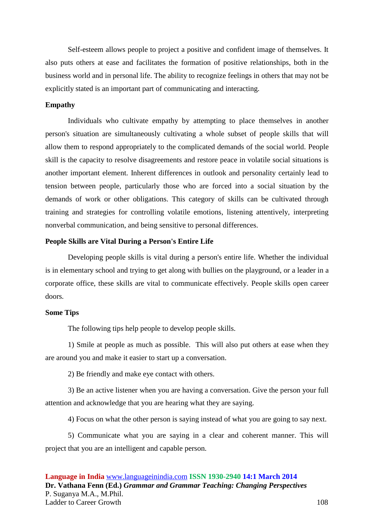Self-esteem allows people to project a positive and confident image of themselves. It also puts others at ease and facilitates the formation of positive relationships, both in the business world and in personal life. The ability to recognize feelings in others that may not be explicitly stated is an important part of communicating and interacting.

#### **Empathy**

Individuals who cultivate empathy by attempting to place themselves in another person's situation are simultaneously cultivating a whole subset of people skills that will allow them to respond appropriately to the complicated demands of the social world. People skill is the capacity to resolve disagreements and restore peace in volatile social situations is another important element. Inherent differences in outlook and personality certainly lead to tension between people, particularly those who are forced into a social situation by the demands of work or other obligations. This category of skills can be cultivated through training and strategies for controlling volatile emotions, listening attentively, interpreting nonverbal communication, and being sensitive to personal differences.

#### **People Skills are Vital During a Person's Entire Life**

Developing people skills is vital during a person's entire life. Whether the individual is in elementary school and trying to get along with bullies on the playground, or a leader in a corporate office, these skills are vital to communicate effectively*.* People skills open career doors*.*

### **Some Tips**

The following tips help people to develop people skills.

1) Smile at people as much as possible. This will also put others at ease when they are around you and make it easier to start up a conversation.

2) Be friendly and make eye contact with others.

3) Be an active listener when you are having a conversation. Give the person your full attention and acknowledge that you are hearing what they are saying.

4) Focus on what the other person is saying instead of what you are going to say next.

5) Communicate what you are saying in a clear and coherent manner. This will project that you are an intelligent and capable person.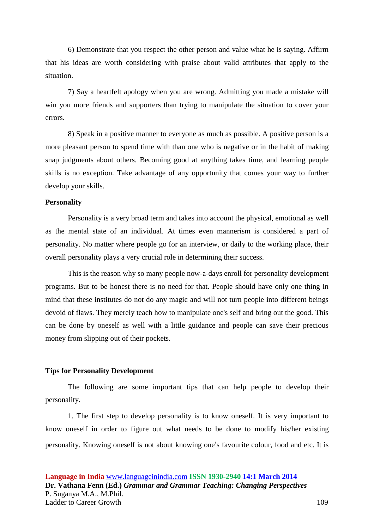6) Demonstrate that you respect the other person and value what he is saying. Affirm that his ideas are worth considering with praise about valid attributes that apply to the situation.

7) Say a heartfelt apology when you are wrong. Admitting you made a mistake will win you more friends and supporters than trying to manipulate the situation to cover your errors.

8) Speak in a positive manner to everyone as much as possible. A positive person is a more pleasant person to spend time with than one who is negative or in the habit of making snap judgments about others. Becoming good at anything takes time, and learning people skills is no exception. Take advantage of any opportunity that comes your way to further develop your skills.

#### **Personality**

Personality is a very broad term and takes into account the physical, emotional as well as the mental state of an individual. At times even mannerism is considered a part of personality. No matter where people go for an interview, or daily to the working place, their overall personality plays a very crucial role in determining their success.

This is the reason why so many people now-a-days enroll for personality development programs. But to be honest there is no need for that. People should have only one thing in mind that these institutes do not do any magic and will not turn people into different beings devoid of flaws. They merely teach how to manipulate one's self and bring out the good. This can be done by oneself as well with a little guidance and people can save their precious money from slipping out of their pockets.

#### **Tips for Personality Development**

The following are some important tips that can help people to develop their personality.

1. The first step to develop personality is to know oneself. It is very important to know oneself in order to figure out what needs to be done to modify his/her existing personality. Knowing oneself is not about knowing one's favourite colour, food and etc. It is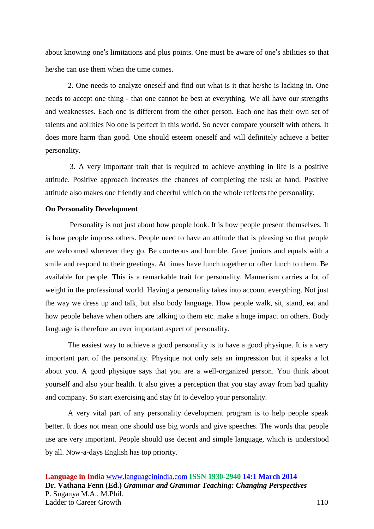about knowing one's limitations and plus points. One must be aware of one's abilities so that he/she can use them when the time comes.

2. One needs to analyze oneself and find out what is it that he/she is lacking in. One needs to accept one thing - that one cannot be best at everything. We all have our strengths and weaknesses. Each one is different from the other person. Each one has their own set of talents and abilities No one is perfect in this world. So never compare yourself with others. It does more harm than good. One should esteem oneself and will definitely achieve a better personality.

3. A very important trait that is required to achieve anything in life is a positive attitude. Positive approach increases the chances of completing the task at hand. Positive attitude also makes one friendly and cheerful which on the whole reflects the personality.

## **On Personality Development**

Personality is not just about how people look. It is how people present themselves. It is how people impress others. People need to have an attitude that is pleasing so that people are welcomed wherever they go. Be courteous and humble. Greet juniors and equals with a smile and respond to their greetings. At times have lunch together or offer lunch to them. Be available for people. This is a remarkable trait for personality. Mannerism carries a lot of weight in the professional world. Having a personality takes into account everything. Not just the way we dress up and talk, but also body language. How people walk, sit, stand, eat and how people behave when others are talking to them etc. make a huge impact on others. Body language is therefore an ever important aspect of personality.

The easiest way to achieve a good personality is to have a good physique. It is a very important part of the personality. Physique not only sets an impression but it speaks a lot about you. A good physique says that you are a well-organized person. You think about yourself and also your health. It also gives a perception that you stay away from bad quality and company. So start exercising and stay fit to develop your personality.

A very vital part of any personality development program is to help people speak better. It does not mean one should use big words and give speeches. The words that people use are very important. People should use decent and simple language, which is understood by all. Now-a-days English has top priority.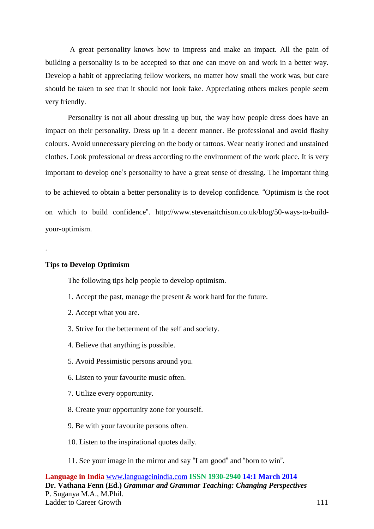A great personality knows how to impress and make an impact. All the pain of building a personality is to be accepted so that one can move on and work in a better way. Develop a habit of appreciating fellow workers, no matter how small the work was, but care should be taken to see that it should not look fake. Appreciating others makes people seem very friendly.

Personality is not all about dressing up but, the way how people dress does have an impact on their personality. Dress up in a decent manner. Be professional and avoid flashy colours. Avoid unnecessary piercing on the body or tattoos. Wear neatly ironed and unstained clothes. Look professional or dress according to the environment of the work place. It is very important to develop one's personality to have a great sense of dressing. The important thing to be achieved to obtain a better personality is to develop confidence. "Optimism is the root on which to build confidence". [http://www.stevenaitchison.co.uk/blog/50-ways-to-build](http://www.stevenaitchison.co.uk/blog/50-ways-to-build-your-optimism.)[your-optimism.](http://www.stevenaitchison.co.uk/blog/50-ways-to-build-your-optimism.)

### **Tips to Develop Optimism**

.

The following tips help people to develop optimism.

- 1. Accept the past, manage the present & work hard for the future.
- 2. Accept what you are.
- 3. Strive for the betterment of the self and society.
- 4. Believe that anything is possible.
- 5. Avoid Pessimistic persons around you.
- 6. Listen to your favourite music often.
- 7. Utilize every opportunity.
- 8. Create your opportunity zone for yourself.
- 9. Be with your favourite persons often.
- 10. Listen to the inspirational quotes daily.
- 11. See your image in the mirror and say "I am good" and "born to win".

**Language in India** [www.languageinindia.com](http://www.languageinindia.com/) **ISSN 1930-2940 14:1 March 2014 Dr. Vathana Fenn (Ed.)** *Grammar and Grammar Teaching: Changing Perspectives* P. Suganya M.A., M.Phil. Ladder to Career Growth 111